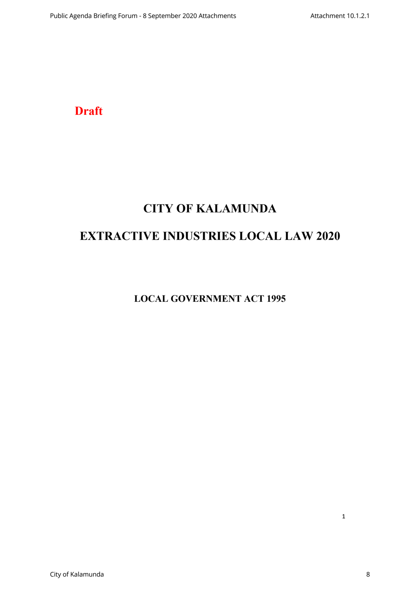**Draft**

# **CITY OF KALAMUNDA**

# **EXTRACTIVE INDUSTRIES LOCAL LAW 2020**

**LOCAL GOVERNMENT ACT 1995**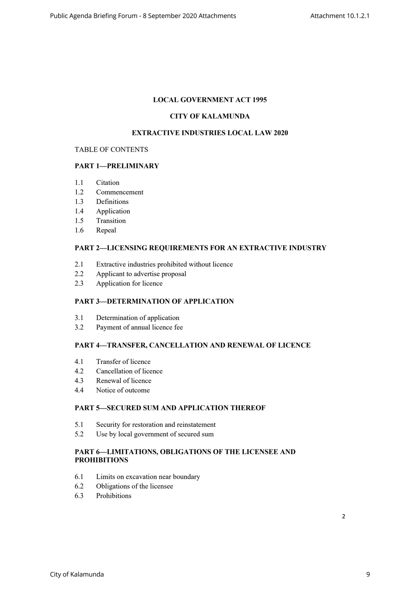# **LOCAL GOVERNMENT ACT 1995**

# **CITY OF KALAMUNDA**

### **EXTRACTIVE INDUSTRIES LOCAL LAW 2020**

#### TABLE OF CONTENTS

## **PART 1—PRELIMINARY**

- 1.1 Citation
- 1.2 Commencement
- 1.3 Definitions
- 1.4 Application
- 1.5 Transition
- 1.6 Repeal

## **PART 2—LICENSING REQUIREMENTS FOR AN EXTRACTIVE INDUSTRY**

- 2.1 Extractive industries prohibited without licence
- 2.2 Applicant to advertise proposal
- 2.3 Application for licence

## **PART 3—DETERMINATION OF APPLICATION**

- 3.1 Determination of application
- 3.2 Payment of annual licence fee

# **PART 4—TRANSFER, CANCELLATION AND RENEWAL OF LICENCE**

- 4.1 Transfer of licence
- 4.2 Cancellation of licence
- 4.3 Renewal of licence
- 4.4 Notice of outcome

# **PART 5—SECURED SUM AND APPLICATION THEREOF**

- 5.1 Security for restoration and reinstatement
- 5.2 Use by local government of secured sum

### **PART 6—LIMITATIONS, OBLIGATIONS OF THE LICENSEE AND PROHIBITIONS**

- 6.1 Limits on excavation near boundary
- 6.2 Obligations of the licensee
- 6.3 Prohibitions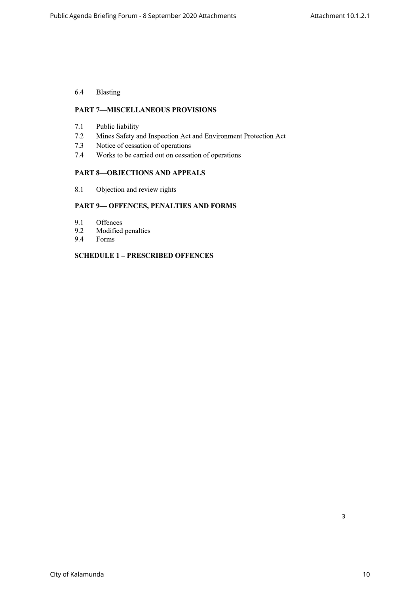# 6.4 Blasting

# **PART 7—MISCELLANEOUS PROVISIONS**

- 7.1 Public liability
- 7.2 Mines Safety and Inspection Act and Environment Protection Act
- 7.3 Notice of cessation of operations
- 7.4 Works to be carried out on cessation of operations

#### **PART 8—OBJECTIONS AND APPEALS**

8.1 Objection and review rights

# **PART 9— OFFENCES, PENALTIES AND FORMS**

- 9.1 Offences
- 9.2 Modified penalties<br>9.4 Forms
- 9.4 Forms

## **SCHEDULE 1 – PRESCRIBED OFFENCES**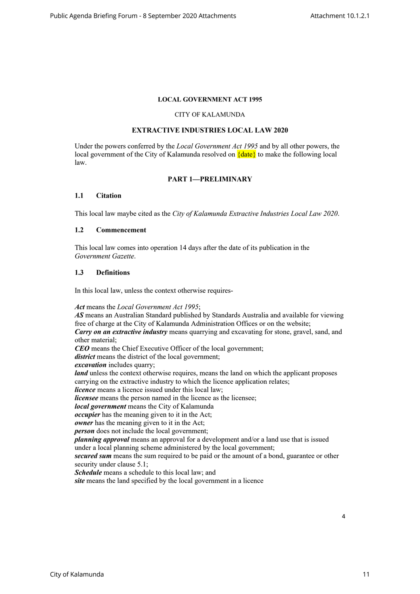## **LOCAL GOVERNMENT ACT 1995**

#### CITY OF KALAMUNDA

# **EXTRACTIVE INDUSTRIES LOCAL LAW 2020**

Under the powers conferred by the *Local Government Act 1995* and by all other powers, the local government of the City of Kalamunda resolved on  $\{date\}$  to make the following local law.

#### **PART 1—PRELIMINARY**

#### **1.1 Citation**

This local law maybe cited as the *City of Kalamunda Extractive Industries Local Law 2020*.

#### **1.2 Commencement**

This local law comes into operation 14 days after the date of its publication in the *Government Gazette*.

#### **1.3 Definitions**

In this local law, unless the context otherwise requires-

*Act* means the *Local Government Act 1995*;

*AS* means an Australian Standard published by Standards Australia and available for viewing free of charge at the City of Kalamunda Administration Offices or on the website; *Carry on an extractive industry* means quarrying and excavating for stone, gravel, sand, and other material; *CEO* means the Chief Executive Officer of the local government; *district* means the district of the local government; *excavation* includes quarry; *land* unless the context otherwise requires, means the land on which the applicant proposes carrying on the extractive industry to which the licence application relates; *licence* means a licence issued under this local law; *licensee* means the person named in the licence as the licensee; *local government* means the City of Kalamunda *occupier* has the meaning given to it in the Act; *owner* has the meaning given to it in the Act; *person* does not include the local government; *planning approval* means an approval for a development and/or a land use that is issued under a local planning scheme administered by the local government; *secured sum* means the sum required to be paid or the amount of a bond, guarantee or other security under clause 5.1; *Schedule* means a schedule to this local law; and *site* means the land specified by the local government in a licence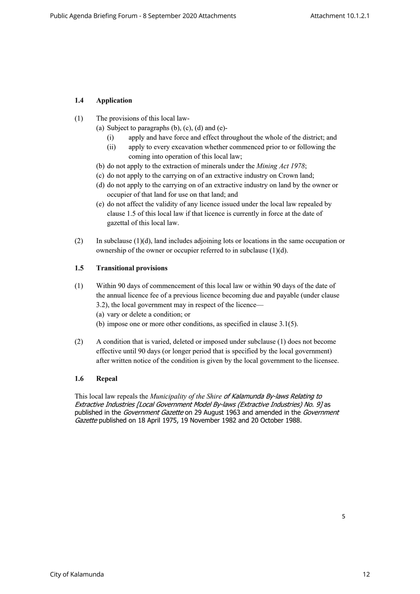# **1.4 Application**

- (1) The provisions of this local law-
	- (a) Subject to paragraphs  $(b)$ ,  $(c)$ ,  $(d)$  and  $(e)$ -
		- (i) apply and have force and effect throughout the whole of the district; and
		- (ii) apply to every excavation whether commenced prior to or following the coming into operation of this local law;
	- (b) do not apply to the extraction of minerals under the *Mining Act 1978*;
	- (c) do not apply to the carrying on of an extractive industry on Crown land;
	- (d) do not apply to the carrying on of an extractive industry on land by the owner or occupier of that land for use on that land; and
	- (e) do not affect the validity of any licence issued under the local law repealed by clause 1.5 of this local law if that licence is currently in force at the date of gazettal of this local law.
- (2) In subclause (1)(d), land includes adjoining lots or locations in the same occupation or ownership of the owner or occupier referred to in subclause (1)(d).

# **1.5 Transitional provisions**

- (1) Within 90 days of commencement of this local law or within 90 days of the date of the annual licence fee of a previous licence becoming due and payable (under clause 3.2), the local government may in respect of the licence—
	- (a) vary or delete a condition; or
	- (b) impose one or more other conditions, as specified in clause 3.1(5).
- (2) A condition that is varied, deleted or imposed under subclause (1) does not become effective until 90 days (or longer period that is specified by the local government) after written notice of the condition is given by the local government to the licensee.

# **1.6 Repeal**

This local law repeals the *Municipality of the Shire of Kalamunda By-laws Relating to Extractive Industries [Local Government Model By-laws (Extractive Industries) No. 9]* as published in the *Government Gazette* on 29 August 1963 and amended in the *Government Gazette* published on 18 April 1975, 19 November 1982 and 20 October 1988.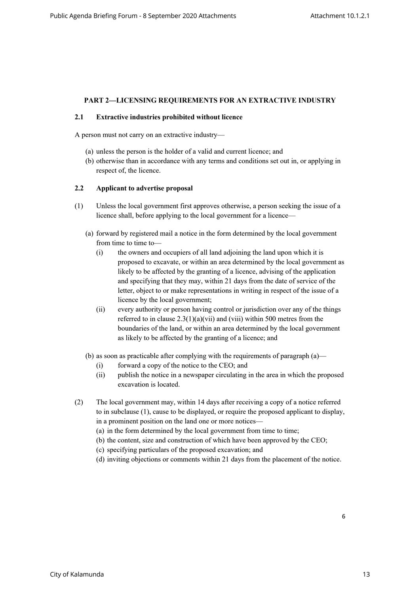# **PART 2—LICENSING REQUIREMENTS FOR AN EXTRACTIVE INDUSTRY**

#### **2.1 Extractive industries prohibited without licence**

A person must not carry on an extractive industry—

- (a) unless the person is the holder of a valid and current licence; and
- (b) otherwise than in accordance with any terms and conditions set out in, or applying in respect of, the licence.

#### **2.2 Applicant to advertise proposal**

- (1) Unless the local government first approves otherwise, a person seeking the issue of a licence shall, before applying to the local government for a licence—
	- (a) forward by registered mail a notice in the form determined by the local government from time to time to-
		- (i) the owners and occupiers of all land adjoining the land upon which it is proposed to excavate, or within an area determined by the local government as likely to be affected by the granting of a licence, advising of the application and specifying that they may, within 21 days from the date of service of the letter, object to or make representations in writing in respect of the issue of a licence by the local government;
		- (ii) every authority or person having control or jurisdiction over any of the things referred to in clause  $2.3(1)(a)(vii)$  and (viii) within 500 metres from the boundaries of the land, or within an area determined by the local government as likely to be affected by the granting of a licence; and
	- (b) as soon as practicable after complying with the requirements of paragraph (a)—
		- (i) forward a copy of the notice to the CEO; and
		- (ii) publish the notice in a newspaper circulating in the area in which the proposed excavation is located.
- (2) The local government may, within 14 days after receiving a copy of a notice referred to in subclause (1), cause to be displayed, or require the proposed applicant to display, in a prominent position on the land one or more notices—
	- (a) in the form determined by the local government from time to time;
	- (b) the content, size and construction of which have been approved by the CEO;
	- (c) specifying particulars of the proposed excavation; and
	- (d) inviting objections or comments within 21 days from the placement of the notice.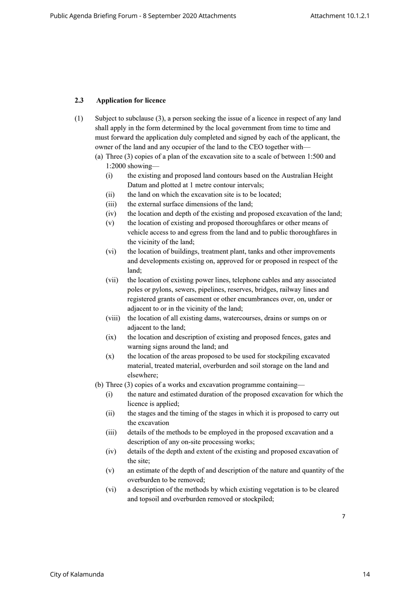# **2.3 Application for licence**

- (1) Subject to subclause (3), a person seeking the issue of a licence in respect of any land shall apply in the form determined by the local government from time to time and must forward the application duly completed and signed by each of the applicant, the owner of the land and any occupier of the land to the CEO together with—
	- (a) Three (3) copies of a plan of the excavation site to a scale of between 1:500 and 1:2000 showing—
		- (i) the existing and proposed land contours based on the Australian Height Datum and plotted at 1 metre contour intervals;
		- (ii) the land on which the excavation site is to be located;
		- (iii) the external surface dimensions of the land;
		- (iv) the location and depth of the existing and proposed excavation of the land;
		- (v) the location of existing and proposed thoroughfares or other means of vehicle access to and egress from the land and to public thoroughfares in the vicinity of the land;
		- (vi) the location of buildings, treatment plant, tanks and other improvements and developments existing on, approved for or proposed in respect of the land;
		- (vii) the location of existing power lines, telephone cables and any associated poles or pylons, sewers, pipelines, reserves, bridges, railway lines and registered grants of easement or other encumbrances over, on, under or adjacent to or in the vicinity of the land;
		- (viii) the location of all existing dams, watercourses, drains or sumps on or adjacent to the land;
		- (ix) the location and description of existing and proposed fences, gates and warning signs around the land; and
		- (x) the location of the areas proposed to be used for stockpiling excavated material, treated material, overburden and soil storage on the land and elsewhere;
	- (b) Three (3) copies of a works and excavation programme containing—
		- (i) the nature and estimated duration of the proposed excavation for which the licence is applied;
		- (ii) the stages and the timing of the stages in which it is proposed to carry out the excavation
		- (iii) details of the methods to be employed in the proposed excavation and a description of any on-site processing works;
		- (iv) details of the depth and extent of the existing and proposed excavation of the site;
		- (v) an estimate of the depth of and description of the nature and quantity of the overburden to be removed;
		- (vi) a description of the methods by which existing vegetation is to be cleared and topsoil and overburden removed or stockpiled;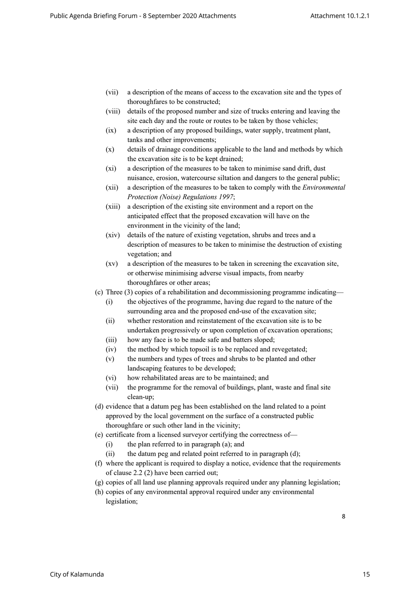- (vii) a description of the means of access to the excavation site and the types of thoroughfares to be constructed;
- (viii) details of the proposed number and size of trucks entering and leaving the site each day and the route or routes to be taken by those vehicles;
- (ix) a description of any proposed buildings, water supply, treatment plant, tanks and other improvements;
- (x) details of drainage conditions applicable to the land and methods by which the excavation site is to be kept drained;
- (xi) a description of the measures to be taken to minimise sand drift, dust nuisance, erosion, watercourse siltation and dangers to the general public;
- (xii) a description of the measures to be taken to comply with the *Environmental Protection (Noise) Regulations 1997*;
- (xiii) a description of the existing site environment and a report on the anticipated effect that the proposed excavation will have on the environment in the vicinity of the land;
- (xiv) details of the nature of existing vegetation, shrubs and trees and a description of measures to be taken to minimise the destruction of existing vegetation; and
- (xv) a description of the measures to be taken in screening the excavation site, or otherwise minimising adverse visual impacts, from nearby thoroughfares or other areas;
- (c) Three (3) copies of a rehabilitation and decommissioning programme indicating—
	- (i) the objectives of the programme, having due regard to the nature of the surrounding area and the proposed end-use of the excavation site;
	- (ii) whether restoration and reinstatement of the excavation site is to be undertaken progressively or upon completion of excavation operations;
	- (iii) how any face is to be made safe and batters sloped;
	- (iv) the method by which topsoil is to be replaced and revegetated;
	- (v) the numbers and types of trees and shrubs to be planted and other landscaping features to be developed;
	- (vi) how rehabilitated areas are to be maintained; and
	- (vii) the programme for the removal of buildings, plant, waste and final site clean-up;
- (d) evidence that a datum peg has been established on the land related to a point approved by the local government on the surface of a constructed public thoroughfare or such other land in the vicinity;
- (e) certificate from a licensed surveyor certifying the correctness of—
	- (i) the plan referred to in paragraph (a); and
	- $(ii)$  the datum peg and related point referred to in paragraph  $(d)$ ;
- (f) where the applicant is required to display a notice, evidence that the requirements of clause 2.2 (2) have been carried out;
- (g) copies of all land use planning approvals required under any planning legislation;
- (h) copies of any environmental approval required under any environmental legislation;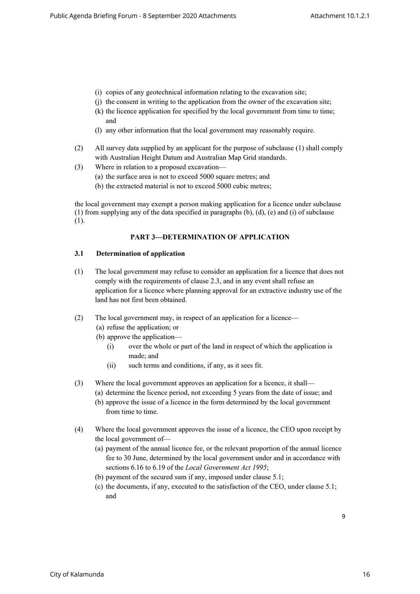- (i) copies of any geotechnical information relating to the excavation site;
- (j) the consent in writing to the application from the owner of the excavation site;
- (k) the licence application fee specified by the local government from time to time; and
- (l) any other information that the local government may reasonably require.
- (2) All survey data supplied by an applicant for the purpose of subclause (1) shall comply with Australian Height Datum and Australian Map Grid standards.
- (3) Where in relation to a proposed excavation—
	- (a) the surface area is not to exceed 5000 square metres; and
	- (b) the extracted material is not to exceed 5000 cubic metres;

the local government may exempt a person making application for a licence under subclause (1) from supplying any of the data specified in paragraphs (b), (d), (e) and (i) of subclause (1).

## **PART 3—DETERMINATION OF APPLICATION**

#### **3.1 Determination of application**

- (1) The local government may refuse to consider an application for a licence that does not comply with the requirements of clause 2.3, and in any event shall refuse an application for a licence where planning approval for an extractive industry use of the land has not first been obtained.
- (2) The local government may, in respect of an application for a licence—
	- (a) refuse the application; or
	- (b) approve the application—
		- (i) over the whole or part of the land in respect of which the application is made; and
		- (ii) such terms and conditions, if any, as it sees fit.
- (3) Where the local government approves an application for a licence, it shall—
	- (a) determine the licence period, not exceeding 5 years from the date of issue; and
		- (b) approve the issue of a licence in the form determined by the local government from time to time.
- (4) Where the local government approves the issue of a licence, the CEO upon receipt by the local government of—
	- (a) payment of the annual licence fee, or the relevant proportion of the annual licence fee to 30 June, determined by the local government under and in accordance with sections 6.16 to 6.19 of the *Local Government Act 1995*;
	- (b) payment of the secured sum if any, imposed under clause 5.1;
	- (c) the documents, if any, executed to the satisfaction of the CEO, under clause 5.1; and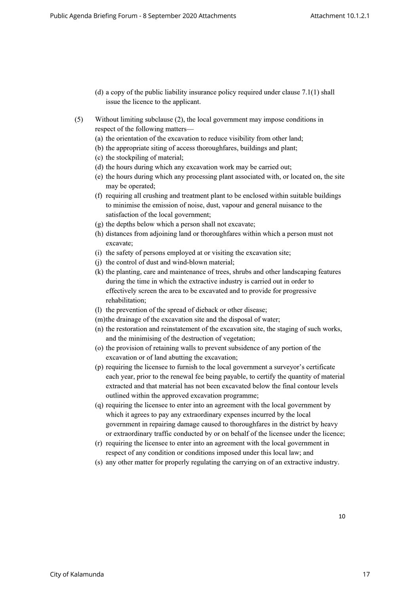- (d) a copy of the public liability insurance policy required under clause 7.1(1) shall issue the licence to the applicant.
- (5) Without limiting subclause (2), the local government may impose conditions in respect of the following matters—
	- (a) the orientation of the excavation to reduce visibility from other land;
	- (b) the appropriate siting of access thoroughfares, buildings and plant;
	- (c) the stockpiling of material;
	- (d) the hours during which any excavation work may be carried out;
	- (e) the hours during which any processing plant associated with, or located on, the site may be operated;
	- (f) requiring all crushing and treatment plant to be enclosed within suitable buildings to minimise the emission of noise, dust, vapour and general nuisance to the satisfaction of the local government;
	- (g) the depths below which a person shall not excavate;
	- (h) distances from adjoining land or thoroughfares within which a person must not excavate;
	- (i) the safety of persons employed at or visiting the excavation site;
	- (j) the control of dust and wind-blown material;
	- (k) the planting, care and maintenance of trees, shrubs and other landscaping features during the time in which the extractive industry is carried out in order to effectively screen the area to be excavated and to provide for progressive rehabilitation;
	- (l) the prevention of the spread of dieback or other disease;
	- (m)the drainage of the excavation site and the disposal of water;
	- (n) the restoration and reinstatement of the excavation site, the staging of such works, and the minimising of the destruction of vegetation;
	- (o) the provision of retaining walls to prevent subsidence of any portion of the excavation or of land abutting the excavation;
	- (p) requiring the licensee to furnish to the local government a surveyor's certificate each year, prior to the renewal fee being payable, to certify the quantity of material extracted and that material has not been excavated below the final contour levels outlined within the approved excavation programme;
	- (q) requiring the licensee to enter into an agreement with the local government by which it agrees to pay any extraordinary expenses incurred by the local government in repairing damage caused to thoroughfares in the district by heavy or extraordinary traffic conducted by or on behalf of the licensee under the licence;
	- (r) requiring the licensee to enter into an agreement with the local government in respect of any condition or conditions imposed under this local law; and
	- (s) any other matter for properly regulating the carrying on of an extractive industry.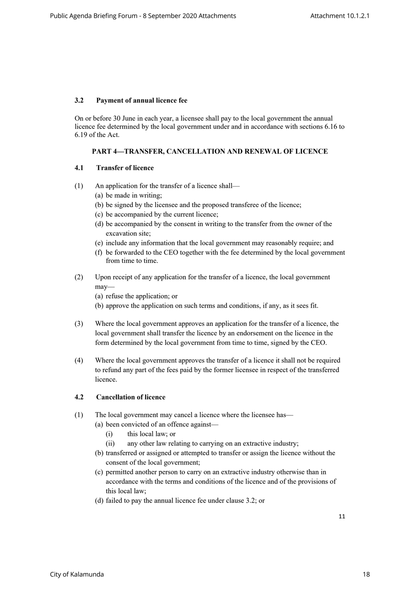### **3.2 Payment of annual licence fee**

On or before 30 June in each year, a licensee shall pay to the local government the annual licence fee determined by the local government under and in accordance with sections 6.16 to 6.19 of the Act.

# **PART 4—TRANSFER, CANCELLATION AND RENEWAL OF LICENCE**

## **4.1 Transfer of licence**

- (1) An application for the transfer of a licence shall—
	- (a) be made in writing;
	- (b) be signed by the licensee and the proposed transferee of the licence;
	- (c) be accompanied by the current licence;
	- (d) be accompanied by the consent in writing to the transfer from the owner of the excavation site;
	- (e) include any information that the local government may reasonably require; and
	- (f) be forwarded to the CEO together with the fee determined by the local government from time to time.
- (2) Upon receipt of any application for the transfer of a licence, the local government may—
	- (a) refuse the application; or
	- (b) approve the application on such terms and conditions, if any, as it sees fit.
- (3) Where the local government approves an application for the transfer of a licence, the local government shall transfer the licence by an endorsement on the licence in the form determined by the local government from time to time, signed by the CEO.
- (4) Where the local government approves the transfer of a licence it shall not be required to refund any part of the fees paid by the former licensee in respect of the transferred licence.

# **4.2 Cancellation of licence**

- (1) The local government may cancel a licence where the licensee has—
	- (a) been convicted of an offence against—
		- (i) this local law; or
		- (ii) any other law relating to carrying on an extractive industry;
	- (b) transferred or assigned or attempted to transfer or assign the licence without the consent of the local government;
	- (c) permitted another person to carry on an extractive industry otherwise than in accordance with the terms and conditions of the licence and of the provisions of this local law;
	- (d) failed to pay the annual licence fee under clause 3.2; or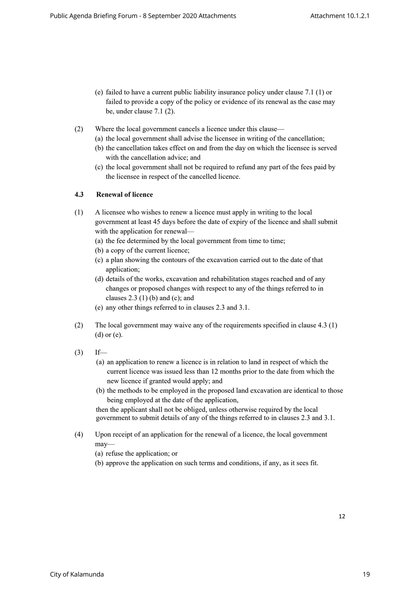- (e) failed to have a current public liability insurance policy under clause 7.1 (1) or failed to provide a copy of the policy or evidence of its renewal as the case may be, under clause 7.1 (2).
- (2) Where the local government cancels a licence under this clause—
	- (a) the local government shall advise the licensee in writing of the cancellation;
	- (b) the cancellation takes effect on and from the day on which the licensee is served with the cancellation advice; and
	- (c) the local government shall not be required to refund any part of the fees paid by the licensee in respect of the cancelled licence.

## **4.3 Renewal of licence**

- (1) A licensee who wishes to renew a licence must apply in writing to the local government at least 45 days before the date of expiry of the licence and shall submit with the application for renewal—
	- (a) the fee determined by the local government from time to time;
	- (b) a copy of the current licence;
	- (c) a plan showing the contours of the excavation carried out to the date of that application;
	- (d) details of the works, excavation and rehabilitation stages reached and of any changes or proposed changes with respect to any of the things referred to in clauses  $2.3$  (1) (b) and (c); and
	- (e) any other things referred to in clauses 2.3 and 3.1.
- (2) The local government may waive any of the requirements specified in clause 4.3 (1) (d) or (e).
- $(3)$  If—
	- (a) an application to renew a licence is in relation to land in respect of which the current licence was issued less than 12 months prior to the date from which the new licence if granted would apply; and
	- (b) the methods to be employed in the proposed land excavation are identical to those being employed at the date of the application,

then the applicant shall not be obliged, unless otherwise required by the local government to submit details of any of the things referred to in clauses 2.3 and 3.1.

- (4) Upon receipt of an application for the renewal of a licence, the local government may—
	- (a) refuse the application; or
	- (b) approve the application on such terms and conditions, if any, as it sees fit.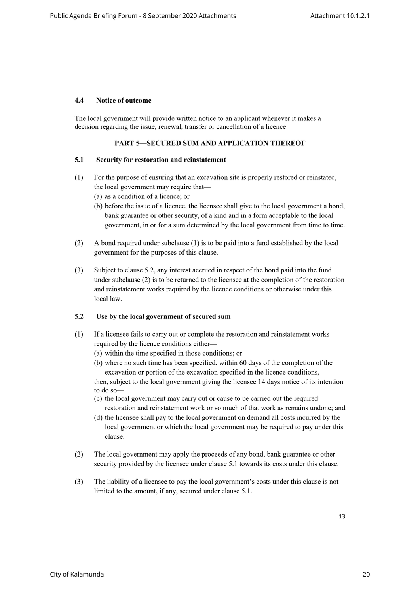### **4.4 Notice of outcome**

The local government will provide written notice to an applicant whenever it makes a decision regarding the issue, renewal, transfer or cancellation of a licence

# **PART 5—SECURED SUM AND APPLICATION THEREOF**

#### **5.1 Security for restoration and reinstatement**

- (1) For the purpose of ensuring that an excavation site is properly restored or reinstated, the local government may require that—
	- (a) as a condition of a licence; or
	- (b) before the issue of a licence, the licensee shall give to the local government a bond, bank guarantee or other security, of a kind and in a form acceptable to the local government, in or for a sum determined by the local government from time to time.
- (2) A bond required under subclause (1) is to be paid into a fund established by the local government for the purposes of this clause.
- (3) Subject to clause 5.2, any interest accrued in respect of the bond paid into the fund under subclause (2) is to be returned to the licensee at the completion of the restoration and reinstatement works required by the licence conditions or otherwise under this local law.

#### **5.2 Use by the local government of secured sum**

- (1) If a licensee fails to carry out or complete the restoration and reinstatement works required by the licence conditions either—
	- (a) within the time specified in those conditions; or
	- (b) where no such time has been specified, within 60 days of the completion of the excavation or portion of the excavation specified in the licence conditions,

then, subject to the local government giving the licensee 14 days notice of its intention to do so—

- (c) the local government may carry out or cause to be carried out the required restoration and reinstatement work or so much of that work as remains undone; and
- (d) the licensee shall pay to the local government on demand all costs incurred by the local government or which the local government may be required to pay under this clause.
- (2) The local government may apply the proceeds of any bond, bank guarantee or other security provided by the licensee under clause 5.1 towards its costs under this clause.
- (3) The liability of a licensee to pay the local government's costs under this clause is not limited to the amount, if any, secured under clause 5.1.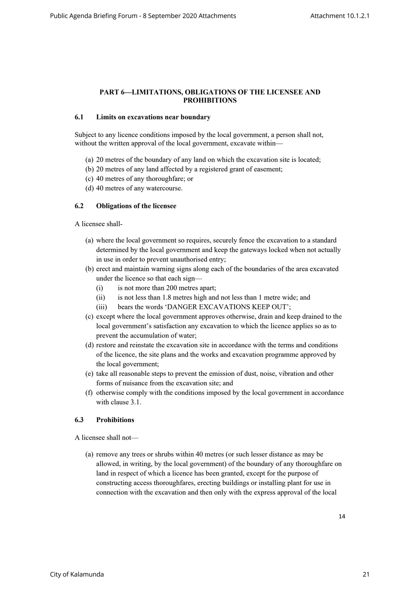## **PART 6—LIMITATIONS, OBLIGATIONS OF THE LICENSEE AND PROHIBITIONS**

#### **6.1 Limits on excavations near boundary**

Subject to any licence conditions imposed by the local government, a person shall not, without the written approval of the local government, excavate within—

- (a) 20 metres of the boundary of any land on which the excavation site is located;
- (b) 20 metres of any land affected by a registered grant of easement;
- (c) 40 metres of any thoroughfare; or
- (d) 40 metres of any watercourse.

## **6.2 Obligations of the licensee**

A licensee shall-

- (a) where the local government so requires, securely fence the excavation to a standard determined by the local government and keep the gateways locked when not actually in use in order to prevent unauthorised entry;
- (b) erect and maintain warning signs along each of the boundaries of the area excavated under the licence so that each sign—
	- (i) is not more than 200 metres apart;
	- (ii) is not less than 1.8 metres high and not less than 1 metre wide; and
	- (iii) bears the words 'DANGER EXCAVATIONS KEEP OUT';
- (c) except where the local government approves otherwise, drain and keep drained to the local government's satisfaction any excavation to which the licence applies so as to prevent the accumulation of water;
- (d) restore and reinstate the excavation site in accordance with the terms and conditions of the licence, the site plans and the works and excavation programme approved by the local government;
- (e) take all reasonable steps to prevent the emission of dust, noise, vibration and other forms of nuisance from the excavation site; and
- (f) otherwise comply with the conditions imposed by the local government in accordance with clause 3.1.

#### **6.3 Prohibitions**

A licensee shall not—

(a) remove any trees or shrubs within 40 metres (or such lesser distance as may be allowed, in writing, by the local government) of the boundary of any thoroughfare on land in respect of which a licence has been granted, except for the purpose of constructing access thoroughfares, erecting buildings or installing plant for use in connection with the excavation and then only with the express approval of the local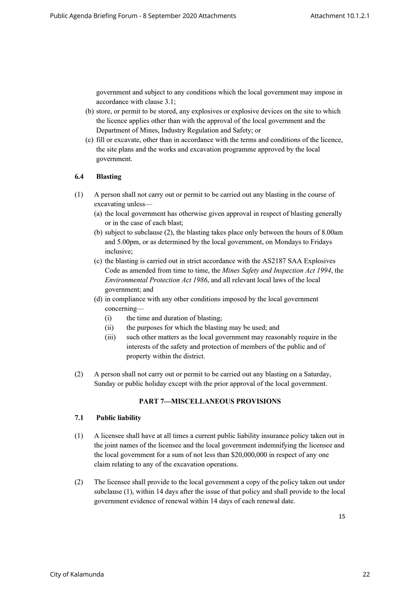government and subject to any conditions which the local government may impose in accordance with clause 3.1;

- (b) store, or permit to be stored, any explosives or explosive devices on the site to which the licence applies other than with the approval of the local government and the Department of Mines, Industry Regulation and Safety; or
- (c) fill or excavate, other than in accordance with the terms and conditions of the licence, the site plans and the works and excavation programme approved by the local government.

### **6.4 Blasting**

- (1) A person shall not carry out or permit to be carried out any blasting in the course of excavating unless—
	- (a) the local government has otherwise given approval in respect of blasting generally or in the case of each blast;
	- (b) subject to subclause (2), the blasting takes place only between the hours of 8.00am and 5.00pm, or as determined by the local government, on Mondays to Fridays inclusive;
	- (c) the blasting is carried out in strict accordance with the AS2187 SAA Explosives Code as amended from time to time, the *Mines Safety and Inspection Act 1994*, the *Environmental Protection Act 1986*, and all relevant local laws of the local government; and
	- (d) in compliance with any other conditions imposed by the local government concerning—
		- (i) the time and duration of blasting;
		- (ii) the purposes for which the blasting may be used; and
		- (iii) such other matters as the local government may reasonably require in the interests of the safety and protection of members of the public and of property within the district.
- (2) A person shall not carry out or permit to be carried out any blasting on a Saturday, Sunday or public holiday except with the prior approval of the local government.

#### **PART 7—MISCELLANEOUS PROVISIONS**

#### **7.1 Public liability**

- (1) A licensee shall have at all times a current public liability insurance policy taken out in the joint names of the licensee and the local government indemnifying the licensee and the local government for a sum of not less than \$20,000,000 in respect of any one claim relating to any of the excavation operations.
- (2) The licensee shall provide to the local government a copy of the policy taken out under subclause (1), within 14 days after the issue of that policy and shall provide to the local government evidence of renewal within 14 days of each renewal date.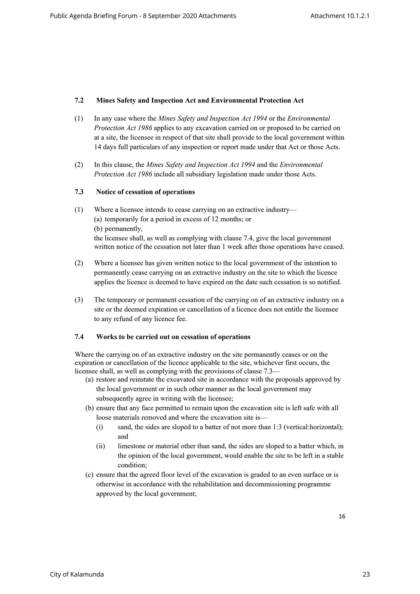## **7.2 Mines Safety and Inspection Act and Environmental Protection Act**

- (1) In any case where the *Mines Safety and Inspection Act 1994* or the *Environmental Protection Act 1986* applies to any excavation carried on or proposed to be carried on at a site, the licensee in respect of that site shall provide to the local government within 14 days full particulars of any inspection or report made under that Act or those Acts.
- (2) In this clause, the *Mines Safety and Inspection Act 1994* and the *Environmental Protection Act 1986* include all subsidiary legislation made under those Acts.

#### **7.3 Notice of cessation of operations**

- (1) Where a licensee intends to cease carrying on an extractive industry— (a) temporarily for a period in excess of 12 months; or (b) permanently, the licensee shall, as well as complying with clause 7.4, give the local government written notice of the cessation not later than 1 week after those operations have ceased.
- (2) Where a licensee has given written notice to the local government of the intention to permanently cease carrying on an extractive industry on the site to which the licence applies the licence is deemed to have expired on the date such cessation is so notified.
- (3) The temporary or permanent cessation of the carrying on of an extractive industry on a site or the deemed expiration or cancellation of a licence does not entitle the licensee to any refund of any licence fee.

#### **7.4 Works to be carried out on cessation of operations**

Where the carrying on of an extractive industry on the site permanently ceases or on the expiration or cancellation of the licence applicable to the site, whichever first occurs, the licensee shall, as well as complying with the provisions of clause 7.3—

- (a) restore and reinstate the excavated site in accordance with the proposals approved by the local government or in such other manner as the local government may subsequently agree in writing with the licensee:
- (b) ensure that any face permitted to remain upon the excavation site is left safe with all loose materials removed and where the excavation site is—
	- (i) sand, the sides are sloped to a batter of not more than 1:3 (vertical:horizontal); and
	- (ii) limestone or material other than sand, the sides are sloped to a batter which, in the opinion of the local government, would enable the site to be left in a stable condition;
- (c) ensure that the agreed floor level of the excavation is graded to an even surface or is otherwise in accordance with the rehabilitation and decommissioning programme approved by the local government;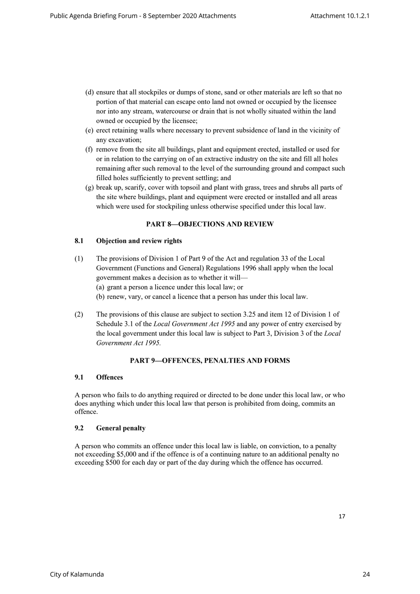- (d) ensure that all stockpiles or dumps of stone, sand or other materials are left so that no portion of that material can escape onto land not owned or occupied by the licensee nor into any stream, watercourse or drain that is not wholly situated within the land owned or occupied by the licensee;
- (e) erect retaining walls where necessary to prevent subsidence of land in the vicinity of any excavation;
- (f) remove from the site all buildings, plant and equipment erected, installed or used for or in relation to the carrying on of an extractive industry on the site and fill all holes remaining after such removal to the level of the surrounding ground and compact such filled holes sufficiently to prevent settling; and
- (g) break up, scarify, cover with topsoil and plant with grass, trees and shrubs all parts of the site where buildings, plant and equipment were erected or installed and all areas which were used for stockpiling unless otherwise specified under this local law.

## **PART 8—OBJECTIONS AND REVIEW**

## **8.1 Objection and review rights**

- (1) The provisions of Division 1 of Part 9 of the Act and regulation 33 of the Local Government (Functions and General) Regulations 1996 shall apply when the local government makes a decision as to whether it will— (a) grant a person a licence under this local law; or (b) renew, vary, or cancel a licence that a person has under this local law.
- (2) The provisions of this clause are subject to section 3.25 and item 12 of Division 1 of Schedule 3.1 of the *Local Government Act 1995* and any power of entry exercised by the local government under this local law is subject to Part 3, Division 3 of the *Local Government Act 1995.*

#### **PART 9—OFFENCES, PENALTIES AND FORMS**

# **9.1 Offences**

A person who fails to do anything required or directed to be done under this local law, or who does anything which under this local law that person is prohibited from doing, commits an offence.

# **9.2 General penalty**

A person who commits an offence under this local law is liable, on conviction, to a penalty not exceeding \$5,000 and if the offence is of a continuing nature to an additional penalty no exceeding \$500 for each day or part of the day during which the offence has occurred.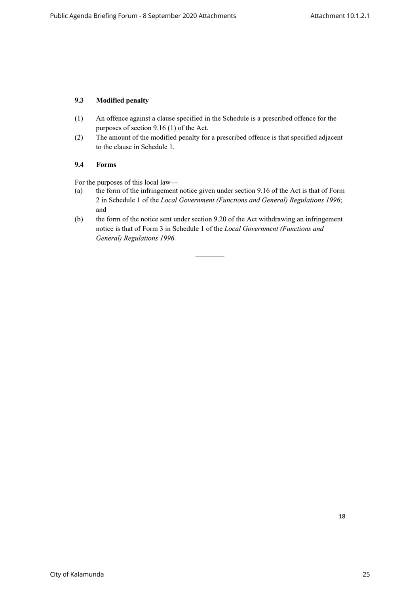# **9.3 Modified penalty**

- (1) An offence against a clause specified in the Schedule is a prescribed offence for the purposes of section 9.16 (1) of the Act.
- (2) The amount of the modified penalty for a prescribed offence is that specified adjacent to the clause in Schedule 1.

## **9.4 Forms**

For the purposes of this local law—

- (a) the form of the infringement notice given under section 9.16 of the Act is that of Form 2 in Schedule 1 of the *Local Government (Functions and General) Regulations 1996*; and
- (b) the form of the notice sent under section 9.20 of the Act withdrawing an infringement notice is that of Form 3 in Schedule 1 of the *Local Government (Functions and General) Regulations 1996*.

————